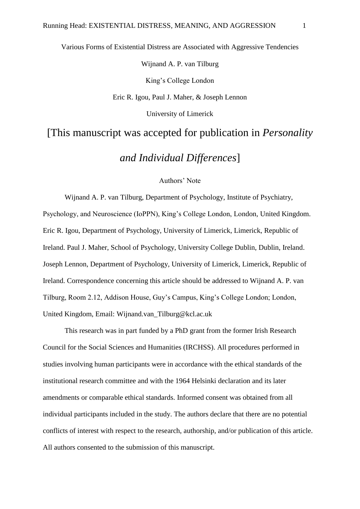Various Forms of Existential Distress are Associated with Aggressive Tendencies Wijnand A. P. van Tilburg King's College London Eric R. Igou, Paul J. Maher, & Joseph Lennon University of Limerick [This manuscript was accepted for publication in *Personality* 

*and Individual Differences*]

## Authors' Note

Wijnand A. P. van Tilburg, Department of Psychology, Institute of Psychiatry, Psychology, and Neuroscience (IoPPN), King's College London, London, United Kingdom. Eric R. Igou, Department of Psychology, University of Limerick, Limerick, Republic of Ireland. Paul J. Maher, School of Psychology, University College Dublin, Dublin, Ireland. Joseph Lennon, Department of Psychology, University of Limerick, Limerick, Republic of Ireland. Correspondence concerning this article should be addressed to Wijnand A. P. van Tilburg, Room 2.12, Addison House, Guy's Campus, King's College London; London, United Kingdom, Email: Wijnand.van\_Tilburg@kcl.ac.uk

This research was in part funded by a PhD grant from the former Irish Research Council for the Social Sciences and Humanities (IRCHSS). All procedures performed in studies involving human participants were in accordance with the ethical standards of the institutional research committee and with the 1964 Helsinki declaration and its later amendments or comparable ethical standards. Informed consent was obtained from all individual participants included in the study. The authors declare that there are no potential conflicts of interest with respect to the research, authorship, and/or publication of this article. All authors consented to the submission of this manuscript.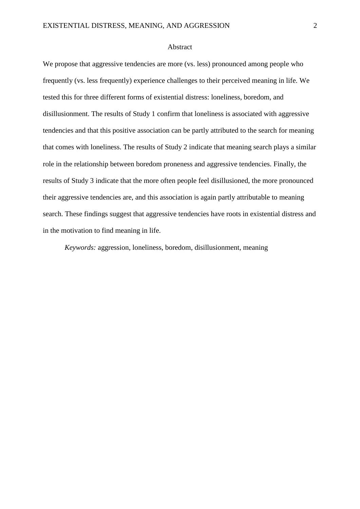#### Abstract

We propose that aggressive tendencies are more (vs. less) pronounced among people who frequently (vs. less frequently) experience challenges to their perceived meaning in life. We tested this for three different forms of existential distress: loneliness, boredom, and disillusionment. The results of Study 1 confirm that loneliness is associated with aggressive tendencies and that this positive association can be partly attributed to the search for meaning that comes with loneliness. The results of Study 2 indicate that meaning search plays a similar role in the relationship between boredom proneness and aggressive tendencies. Finally, the results of Study 3 indicate that the more often people feel disillusioned, the more pronounced their aggressive tendencies are, and this association is again partly attributable to meaning search. These findings suggest that aggressive tendencies have roots in existential distress and in the motivation to find meaning in life.

*Keywords:* aggression, loneliness, boredom, disillusionment, meaning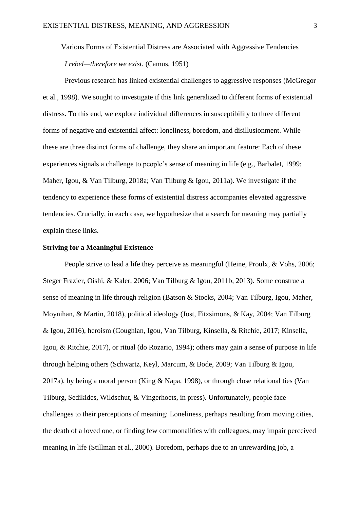Various Forms of Existential Distress are Associated with Aggressive Tendencies *I rebel—therefore we exist.* (Camus, 1951)

Previous research has linked existential challenges to aggressive responses (McGregor et al., 1998). We sought to investigate if this link generalized to different forms of existential distress. To this end, we explore individual differences in susceptibility to three different forms of negative and existential affect: loneliness, boredom, and disillusionment. While these are three distinct forms of challenge, they share an important feature: Each of these experiences signals a challenge to people's sense of meaning in life (e.g., Barbalet, 1999; Maher, Igou, & Van Tilburg, 2018a; Van Tilburg & Igou, 2011a). We investigate if the tendency to experience these forms of existential distress accompanies elevated aggressive tendencies. Crucially, in each case, we hypothesize that a search for meaning may partially explain these links.

#### **Striving for a Meaningful Existence**

People strive to lead a life they perceive as meaningful (Heine, Proulx, & Vohs, 2006; Steger Frazier, Oishi, & Kaler, 2006; Van Tilburg & Igou, 2011b, 2013). Some construe a sense of meaning in life through religion (Batson & Stocks, 2004; Van Tilburg, Igou, Maher, Moynihan, & Martin, 2018), political ideology (Jost, Fitzsimons, & Kay, 2004; Van Tilburg & Igou, 2016), heroism (Coughlan, Igou, Van Tilburg, Kinsella, & Ritchie, 2017; Kinsella, Igou, & Ritchie, 2017), or ritual (do Rozario, 1994); others may gain a sense of purpose in life through helping others (Schwartz, Keyl, Marcum, & Bode, 2009; Van Tilburg & Igou, 2017a), by being a moral person (King & Napa, 1998), or through close relational ties (Van Tilburg, Sedikides, Wildschut, & Vingerhoets, in press). Unfortunately, people face challenges to their perceptions of meaning: Loneliness, perhaps resulting from moving cities, the death of a loved one, or finding few commonalities with colleagues, may impair perceived meaning in life (Stillman et al., 2000). Boredom, perhaps due to an unrewarding job, a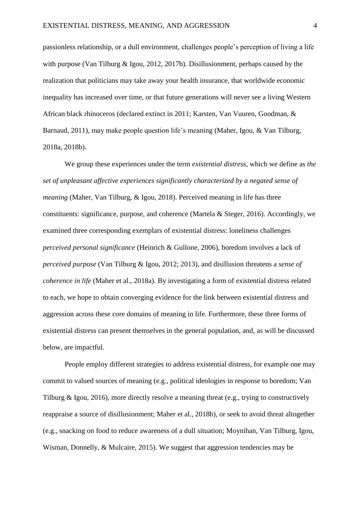passionless relationship, or a dull environment, challenges people's perception of living a life with purpose (Van Tilburg & Igou, 2012, 2017b). Disillusionment, perhaps caused by the realization that politicians may take away your health insurance, that worldwide economic inequality has increased over time, or that future generations will never see a living Western African black rhinoceros (declared extinct in 2011; Karsten, Van Vuuren, Goodman, & Barnaud, 2011), may make people question life's meaning (Maher, Igou, & Van Tilburg, 2018a, 2018b).

We group these experiences under the term *existential distress*, which we define as *the set of unpleasant affective experiences significantly characterized by a negated sense of meaning* (Maher, Van Tilburg, & Igou, 2018). Perceived meaning in life has three constituents: significance, purpose, and coherence (Martela & Steger, 2016). Accordingly, we examined three corresponding exemplars of existential distress: loneliness challenges *perceived personal significance* (Heinrich & Gullone, 2006), boredom involves a lack of *perceived purpose* (Van Tilburg & Igou, 2012; 2013), and disillusion threatens a *sense of coherence in life* (Maher et al., 2018a). By investigating a form of existential distress related to each, we hope to obtain converging evidence for the link between existential distress and aggression across these core domains of meaning in life. Furthermore, these three forms of existential distress can present themselves in the general population, and, as will be discussed below, are impactful.

People employ different strategies to address existential distress, for example one may commit to valued sources of meaning (e.g., political ideologies in response to boredom; Van Tilburg & Igou, 2016), more directly resolve a meaning threat (e.g., trying to constructively reappraise a source of disillusionment; Maher et al., 2018b), or seek to avoid threat altogether (e.g., snacking on food to reduce awareness of a dull situation; Moynihan, Van Tilburg, Igou, Wisman, Donnelly, & Mulcaire, 2015). We suggest that aggression tendencies may be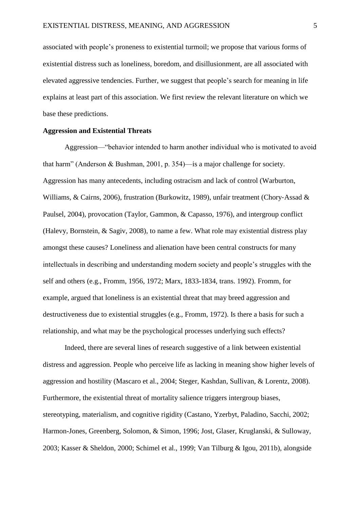associated with people's proneness to existential turmoil; we propose that various forms of existential distress such as loneliness, boredom, and disillusionment, are all associated with elevated aggressive tendencies. Further, we suggest that people's search for meaning in life explains at least part of this association. We first review the relevant literature on which we base these predictions.

#### **Aggression and Existential Threats**

Aggression—"behavior intended to harm another individual who is motivated to avoid that harm" (Anderson & Bushman, 2001, p. 354)—is a major challenge for society. Aggression has many antecedents, including ostracism and lack of control (Warburton, Williams, & Cairns, 2006), frustration (Burkowitz, 1989), unfair treatment (Chory‐Assad & Paulsel, 2004), provocation (Taylor, Gammon, & Capasso, 1976), and intergroup conflict (Halevy, Bornstein, & Sagiv, 2008), to name a few. What role may existential distress play amongst these causes? Loneliness and alienation have been central constructs for many intellectuals in describing and understanding modern society and people's struggles with the self and others (e.g., Fromm, 1956, 1972; Marx, 1833-1834, trans. 1992). Fromm, for example, argued that loneliness is an existential threat that may breed aggression and destructiveness due to existential struggles (e.g., Fromm, 1972). Is there a basis for such a relationship, and what may be the psychological processes underlying such effects?

Indeed, there are several lines of research suggestive of a link between existential distress and aggression. People who perceive life as lacking in meaning show higher levels of aggression and hostility (Mascaro et al., 2004; Steger, Kashdan, Sullivan, & Lorentz, 2008). Furthermore, the existential threat of mortality salience triggers intergroup biases, stereotyping, materialism, and cognitive rigidity (Castano, Yzerbyt, Paladino, Sacchi, 2002; Harmon-Jones, Greenberg, Solomon, & Simon, 1996; Jost, Glaser, Kruglanski, & Sulloway, 2003; Kasser & Sheldon, 2000; Schimel et al., 1999; Van Tilburg & Igou, 2011b), alongside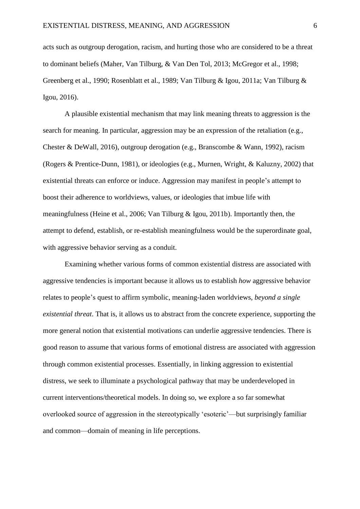acts such as outgroup derogation, racism, and hurting those who are considered to be a threat to dominant beliefs (Maher, Van Tilburg, & Van Den Tol, 2013; McGregor et al., 1998; Greenberg et al., 1990; Rosenblatt et al., 1989; Van Tilburg & Igou, 2011a; Van Tilburg & Igou, 2016).

A plausible existential mechanism that may link meaning threats to aggression is the search for meaning. In particular, aggression may be an expression of the retaliation (e.g., Chester & DeWall, 2016), outgroup derogation (e.g., Branscombe & Wann, 1992), racism (Rogers & Prentice-Dunn, 1981), or ideologies (e.g., Murnen, Wright, & Kaluzny, 2002) that existential threats can enforce or induce. Aggression may manifest in people's attempt to boost their adherence to worldviews, values, or ideologies that imbue life with meaningfulness (Heine et al., 2006; Van Tilburg & Igou, 2011b). Importantly then, the attempt to defend, establish, or re-establish meaningfulness would be the superordinate goal, with aggressive behavior serving as a conduit.

Examining whether various forms of common existential distress are associated with aggressive tendencies is important because it allows us to establish *how* aggressive behavior relates to people's quest to affirm symbolic, meaning-laden worldviews, *beyond a single existential threat*. That is, it allows us to abstract from the concrete experience, supporting the more general notion that existential motivations can underlie aggressive tendencies. There is good reason to assume that various forms of emotional distress are associated with aggression through common existential processes. Essentially, in linking aggression to existential distress, we seek to illuminate a psychological pathway that may be underdeveloped in current interventions/theoretical models. In doing so, we explore a so far somewhat overlooked source of aggression in the stereotypically 'esoteric'—but surprisingly familiar and common—domain of meaning in life perceptions.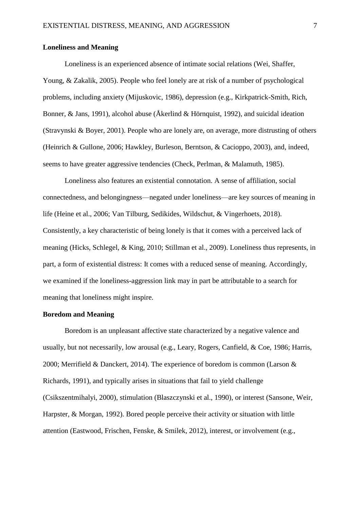## **Loneliness and Meaning**

Loneliness is an experienced absence of intimate social relations (Wei, Shaffer, Young, & Zakalik, 2005). People who feel lonely are at risk of a number of psychological problems, including anxiety (Mijuskovic, 1986), depression (e.g., Kirkpatrick-Smith, Rich, Bonner, & Jans, 1991), alcohol abuse (Åkerlind & Hörnquist, 1992), and suicidal ideation (Stravynski & Boyer, 2001). People who are lonely are, on average, more distrusting of others (Heinrich & Gullone, 2006; Hawkley, Burleson, Berntson, & Cacioppo, 2003), and, indeed, seems to have greater aggressive tendencies (Check, Perlman, & Malamuth, 1985).

Loneliness also features an existential connotation. A sense of affiliation, social connectedness, and belongingness—negated under loneliness—are key sources of meaning in life (Heine et al., 2006; Van Tilburg, Sedikides, Wildschut, & Vingerhoets, 2018). Consistently, a key characteristic of being lonely is that it comes with a perceived lack of meaning (Hicks, Schlegel, & King, 2010; Stillman et al., 2009). Loneliness thus represents, in part, a form of existential distress: It comes with a reduced sense of meaning. Accordingly, we examined if the loneliness-aggression link may in part be attributable to a search for meaning that loneliness might inspire.

## **Boredom and Meaning**

Boredom is an unpleasant affective state characterized by a negative valence and usually, but not necessarily, low arousal (e.g., Leary, Rogers, Canfield, & Coe, 1986; Harris, 2000; Merrifield & Danckert, 2014). The experience of boredom is common (Larson & Richards, 1991), and typically arises in situations that fail to yield challenge (Csikszentmihalyi, 2000), stimulation (Blaszczynski et al., 1990), or interest (Sansone, Weir, Harpster, & Morgan, 1992). Bored people perceive their activity or situation with little attention (Eastwood, Frischen, Fenske, & Smilek, 2012), interest, or involvement (e.g.,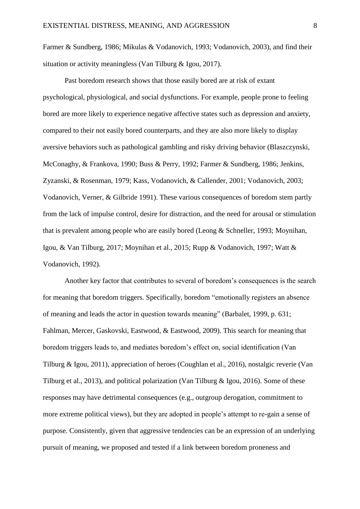Farmer & Sundberg, 1986; Mikulas & Vodanovich, 1993; Vodanovich, 2003), and find their situation or activity meaningless (Van Tilburg & Igou, 2017).

Past boredom research shows that those easily bored are at risk of extant psychological, physiological, and social dysfunctions. For example, people prone to feeling bored are more likely to experience negative affective states such as depression and anxiety, compared to their not easily bored counterparts, and they are also more likely to display aversive behaviors such as pathological gambling and risky driving behavior (Blaszczynski, McConaghy, & Frankova, 1990; Buss & Perry, 1992; Farmer & Sundberg, 1986; Jenkins, Zyzanski, & Rosenman, 1979; Kass, Vodanovich, & Callender, 2001; Vodanovich, 2003; Vodanovich, Verner, & Gilbride 1991). These various consequences of boredom stem partly from the lack of impulse control, desire for distraction, and the need for arousal or stimulation that is prevalent among people who are easily bored (Leong & Schneller, 1993; Moynihan, Igou, & Van Tilburg, 2017; Moynihan et al., 2015; Rupp & Vodanovich, 1997; Watt & Vodanovich, 1992).

Another key factor that contributes to several of boredom's consequences is the search for meaning that boredom triggers. Specifically, boredom "emotionally registers an absence of meaning and leads the actor in question towards meaning" (Barbalet, 1999, p. 631; Fahlman, Mercer, Gaskovski, Eastwood, & Eastwood, 2009). This search for meaning that boredom triggers leads to, and mediates boredom's effect on, social identification (Van Tilburg & Igou, 2011), appreciation of heroes (Coughlan et al., 2016), nostalgic reverie (Van Tilburg et al., 2013), and political polarization (Van Tilburg & Igou, 2016). Some of these responses may have detrimental consequences (e.g., outgroup derogation, commitment to more extreme political views), but they are adopted in people's attempt to re-gain a sense of purpose. Consistently, given that aggressive tendencies can be an expression of an underlying pursuit of meaning, we proposed and tested if a link between boredom proneness and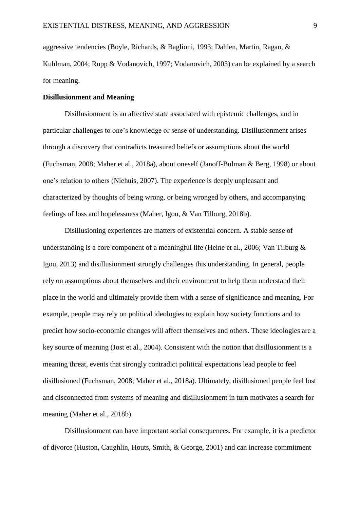aggressive tendencies (Boyle, Richards, & Baglioni, 1993; Dahlen, Martin, Ragan, & Kuhlman, 2004; Rupp & Vodanovich, 1997; Vodanovich, 2003) can be explained by a search for meaning.

## **Disillusionment and Meaning**

Disillusionment is an affective state associated with epistemic challenges, and in particular challenges to one's knowledge or sense of understanding. Disillusionment arises through a discovery that contradicts treasured beliefs or assumptions about the world (Fuchsman, 2008; Maher et al., 2018a), about oneself (Janoff-Bulman & Berg, 1998) or about one's relation to others (Niehuis, 2007). The experience is deeply unpleasant and characterized by thoughts of being wrong, or being wronged by others, and accompanying feelings of loss and hopelessness (Maher, Igou, & Van Tilburg, 2018b).

Disillusioning experiences are matters of existential concern. A stable sense of understanding is a core component of a meaningful life (Heine et al., 2006; Van Tilburg & Igou, 2013) and disillusionment strongly challenges this understanding. In general, people rely on assumptions about themselves and their environment to help them understand their place in the world and ultimately provide them with a sense of significance and meaning. For example, people may rely on political ideologies to explain how society functions and to predict how socio-economic changes will affect themselves and others. These ideologies are a key source of meaning (Jost et al., 2004). Consistent with the notion that disillusionment is a meaning threat, events that strongly contradict political expectations lead people to feel disillusioned (Fuchsman, 2008; Maher et al., 2018a). Ultimately, disillusioned people feel lost and disconnected from systems of meaning and disillusionment in turn motivates a search for meaning (Maher et al., 2018b).

Disillusionment can have important social consequences. For example, it is a predictor of divorce (Huston, Caughlin, Houts, Smith, & George, 2001) and can increase commitment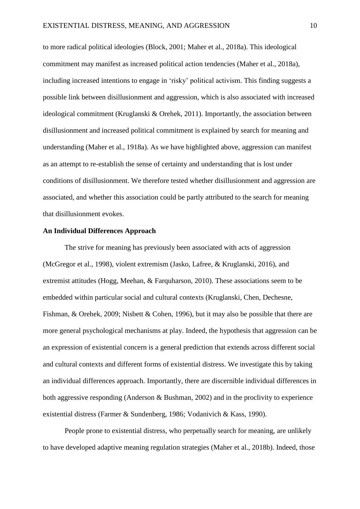to more radical political ideologies (Block, 2001; Maher et al., 2018a). This ideological commitment may manifest as increased political action tendencies (Maher et al., 2018a), including increased intentions to engage in 'risky' political activism. This finding suggests a possible link between disillusionment and aggression, which is also associated with increased ideological commitment (Kruglanski & Orehek, 2011). Importantly, the association between disillusionment and increased political commitment is explained by search for meaning and understanding (Maher et al., 1918a). As we have highlighted above, aggression can manifest as an attempt to re-establish the sense of certainty and understanding that is lost under conditions of disillusionment. We therefore tested whether disillusionment and aggression are associated, and whether this association could be partly attributed to the search for meaning that disillusionment evokes.

#### **An Individual Differences Approach**

The strive for meaning has previously been associated with acts of aggression (McGregor et al., 1998), violent extremism (Jasko, Lafree, & Kruglanski, 2016), and extremist attitudes (Hogg, Meehan, & Farquharson, 2010). These associations seem to be embedded within particular social and cultural contexts (Kruglanski, Chen, Dechesne, Fishman, & Orehek, 2009; Nisbett & Cohen, 1996), but it may also be possible that there are more general psychological mechanisms at play. Indeed, the hypothesis that aggression can be an expression of existential concern is a general prediction that extends across different social and cultural contexts and different forms of existential distress. We investigate this by taking an individual differences approach. Importantly, there are discernible individual differences in both aggressive responding (Anderson & Bushman, 2002) and in the proclivity to experience existential distress (Farmer & Sundenberg, 1986; Vodanivich & Kass, 1990).

People prone to existential distress, who perpetually search for meaning, are unlikely to have developed adaptive meaning regulation strategies (Maher et al., 2018b). Indeed, those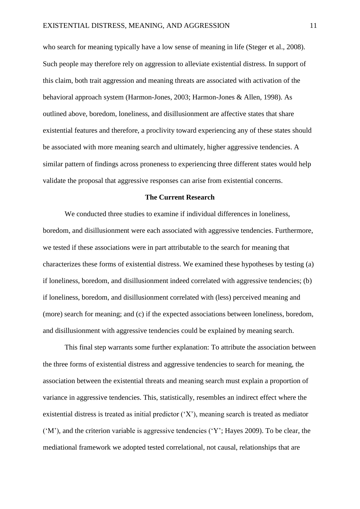who search for meaning typically have a low sense of meaning in life (Steger et al., 2008). Such people may therefore rely on aggression to alleviate existential distress. In support of this claim, both trait aggression and meaning threats are associated with activation of the behavioral approach system (Harmon-Jones, 2003; Harmon-Jones & Allen, 1998). As outlined above, boredom, loneliness, and disillusionment are affective states that share existential features and therefore, a proclivity toward experiencing any of these states should be associated with more meaning search and ultimately, higher aggressive tendencies. A similar pattern of findings across proneness to experiencing three different states would help validate the proposal that aggressive responses can arise from existential concerns.

## **The Current Research**

We conducted three studies to examine if individual differences in loneliness, boredom, and disillusionment were each associated with aggressive tendencies. Furthermore, we tested if these associations were in part attributable to the search for meaning that characterizes these forms of existential distress. We examined these hypotheses by testing (a) if loneliness, boredom, and disillusionment indeed correlated with aggressive tendencies; (b) if loneliness, boredom, and disillusionment correlated with (less) perceived meaning and (more) search for meaning; and (c) if the expected associations between loneliness, boredom, and disillusionment with aggressive tendencies could be explained by meaning search.

This final step warrants some further explanation: To attribute the association between the three forms of existential distress and aggressive tendencies to search for meaning, the association between the existential threats and meaning search must explain a proportion of variance in aggressive tendencies. This, statistically, resembles an indirect effect where the existential distress is treated as initial predictor ('X'), meaning search is treated as mediator ('M'), and the criterion variable is aggressive tendencies ('Y'; Hayes 2009). To be clear, the mediational framework we adopted tested correlational, not causal, relationships that are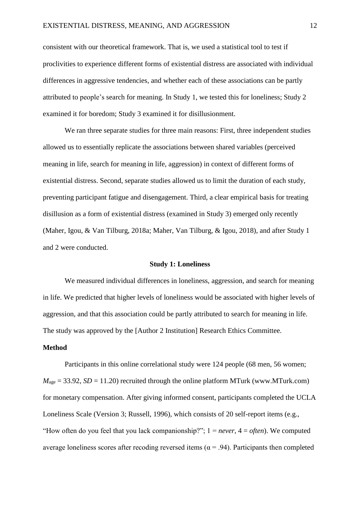consistent with our theoretical framework. That is, we used a statistical tool to test if proclivities to experience different forms of existential distress are associated with individual differences in aggressive tendencies, and whether each of these associations can be partly attributed to people's search for meaning. In Study 1, we tested this for loneliness; Study 2 examined it for boredom; Study 3 examined it for disillusionment.

We ran three separate studies for three main reasons: First, three independent studies allowed us to essentially replicate the associations between shared variables (perceived meaning in life, search for meaning in life, aggression) in context of different forms of existential distress. Second, separate studies allowed us to limit the duration of each study, preventing participant fatigue and disengagement. Third, a clear empirical basis for treating disillusion as a form of existential distress (examined in Study 3) emerged only recently (Maher, Igou, & Van Tilburg, 2018a; Maher, Van Tilburg, & Igou, 2018), and after Study 1 and 2 were conducted.

#### **Study 1: Loneliness**

We measured individual differences in loneliness, aggression, and search for meaning in life. We predicted that higher levels of loneliness would be associated with higher levels of aggression, and that this association could be partly attributed to search for meaning in life. The study was approved by the [Author 2 Institution] Research Ethics Committee.

## **Method**

Participants in this online correlational study were 124 people (68 men, 56 women;  $M_{\text{age}} = 33.92$ , *SD* = 11.20) recruited through the online platform MTurk (www.MTurk.com) for monetary compensation. After giving informed consent, participants completed the UCLA Loneliness Scale (Version 3; Russell, 1996), which consists of 20 self-report items (e.g., "How often do you feel that you lack companionship?"; 1 = *never*, 4 = *often*). We computed average loneliness scores after recoding reversed items ( $\alpha$  = .94). Participants then completed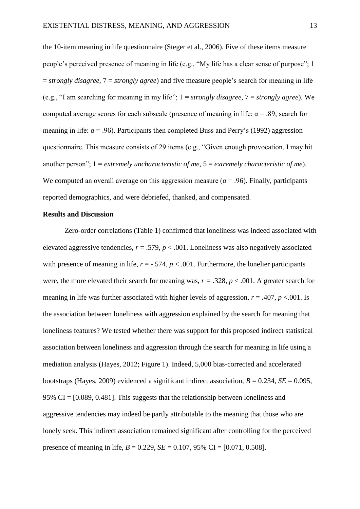the 10-item meaning in life questionnaire (Steger et al., 2006). Five of these items measure people's perceived presence of meaning in life (e.g., "My life has a clear sense of purpose"; 1 = *strongly disagree*, 7 = *strongly agree*) and five measure people's search for meaning in life (e.g., "I am searching for meaning in my life"; 1 = *strongly disagree*, 7 = *strongly agree*). We computed average scores for each subscale (presence of meaning in life:  $\alpha$  = .89; search for meaning in life:  $\alpha$  = .96). Participants then completed Buss and Perry's (1992) aggression questionnaire. This measure consists of 29 items (e.g., "Given enough provocation, I may hit another person"; 1 = *extremely uncharacteristic of me*, 5 = *extremely characteristic of me*). We computed an overall average on this aggression measure ( $\alpha$  = .96). Finally, participants reported demographics, and were debriefed, thanked, and compensated.

#### **Results and Discussion**

Zero-order correlations (Table 1) confirmed that loneliness was indeed associated with elevated aggressive tendencies,  $r = .579$ ,  $p < .001$ . Loneliness was also negatively associated with presence of meaning in life,  $r = -.574$ ,  $p < .001$ . Furthermore, the lonelier participants were, the more elevated their search for meaning was,  $r = .328$ ,  $p < .001$ . A greater search for meaning in life was further associated with higher levels of aggression,  $r = .407$ ,  $p < .001$ . Is the association between loneliness with aggression explained by the search for meaning that loneliness features? We tested whether there was support for this proposed indirect statistical association between loneliness and aggression through the search for meaning in life using a mediation analysis (Hayes, 2012; Figure 1). Indeed, 5,000 bias-corrected and accelerated bootstraps (Hayes, 2009) evidenced a significant indirect association,  $B = 0.234$ ,  $SE = 0.095$ , 95% CI = [0.089, 0.481]. This suggests that the relationship between loneliness and aggressive tendencies may indeed be partly attributable to the meaning that those who are lonely seek. This indirect association remained significant after controlling for the perceived presence of meaning in life,  $B = 0.229$ ,  $SE = 0.107$ , 95% CI = [0.071, 0.508].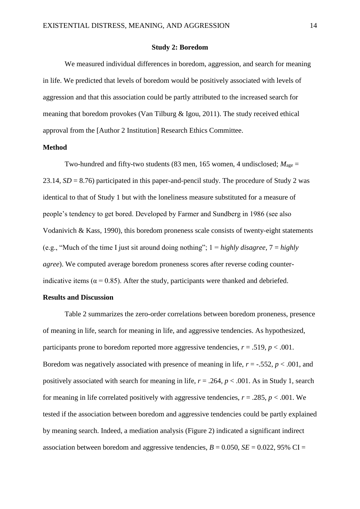#### **Study 2: Boredom**

We measured individual differences in boredom, aggression, and search for meaning in life. We predicted that levels of boredom would be positively associated with levels of aggression and that this association could be partly attributed to the increased search for meaning that boredom provokes (Van Tilburg & Igou, 2011). The study received ethical approval from the [Author 2 Institution] Research Ethics Committee.

#### **Method**

Two-hundred and fifty-two students (83 men, 165 women, 4 undisclosed;  $M_{\text{age}} =$ 23.14, *SD* = 8.76) participated in this paper-and-pencil study. The procedure of Study 2 was identical to that of Study 1 but with the loneliness measure substituted for a measure of people's tendency to get bored. Developed by Farmer and Sundberg in 1986 (see also Vodanivich & Kass, 1990), this boredom proneness scale consists of twenty-eight statements (e.g., "Much of the time I just sit around doing nothing"; 1 = *highly disagree,* 7 = *highly agree*). We computed average boredom proneness scores after reverse coding counterindicative items ( $\alpha$  = 0.85). After the study, participants were thanked and debriefed.

## **Results and Discussion**

Table 2 summarizes the zero-order correlations between boredom proneness, presence of meaning in life, search for meaning in life, and aggressive tendencies. As hypothesized, participants prone to boredom reported more aggressive tendencies,  $r = .519$ ,  $p < .001$ . Boredom was negatively associated with presence of meaning in life,  $r = -0.552$ ,  $p < 0.001$ , and positively associated with search for meaning in life,  $r = .264$ ,  $p < .001$ . As in Study 1, search for meaning in life correlated positively with aggressive tendencies,  $r = .285$ ,  $p < .001$ . We tested if the association between boredom and aggressive tendencies could be partly explained by meaning search. Indeed, a mediation analysis (Figure 2) indicated a significant indirect association between boredom and aggressive tendencies,  $B = 0.050$ ,  $SE = 0.022$ , 95% CI =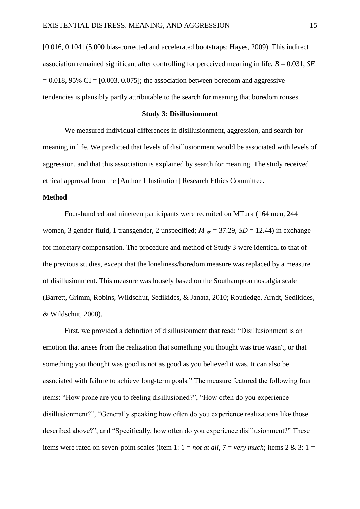[0.016, 0.104] (5,000 bias-corrected and accelerated bootstraps; Hayes, 2009). This indirect association remained significant after controlling for perceived meaning in life, *B* = 0.031, *SE*  $= 0.018$ , 95% CI = [0.003, 0.075]; the association between boredom and aggressive tendencies is plausibly partly attributable to the search for meaning that boredom rouses.

#### **Study 3: Disillusionment**

We measured individual differences in disillusionment, aggression, and search for meaning in life. We predicted that levels of disillusionment would be associated with levels of aggression, and that this association is explained by search for meaning. The study received ethical approval from the [Author 1 Institution] Research Ethics Committee.

## **Method**

Four-hundred and nineteen participants were recruited on MTurk (164 men, 244 women, 3 gender-fluid, 1 transgender, 2 unspecified;  $M_{\text{age}} = 37.29$ ,  $SD = 12.44$ ) in exchange for monetary compensation. The procedure and method of Study 3 were identical to that of the previous studies, except that the loneliness/boredom measure was replaced by a measure of disillusionment. This measure was loosely based on the Southampton nostalgia scale (Barrett, Grimm, Robins, Wildschut, Sedikides, & Janata, 2010; Routledge, Arndt, Sedikides, & Wildschut, 2008).

First, we provided a definition of disillusionment that read: "Disillusionment is an emotion that arises from the realization that something you thought was true wasn't, or that something you thought was good is not as good as you believed it was. It can also be associated with failure to achieve long-term goals." The measure featured the following four items: "How prone are you to feeling disillusioned?", "How often do you experience disillusionment?", "Generally speaking how often do you experience realizations like those described above?", and "Specifically, how often do you experience disillusionment?" These items were rated on seven-point scales (item 1:  $1 = not at all, 7 = very much$ ; items  $2 & 3$ :  $1 =$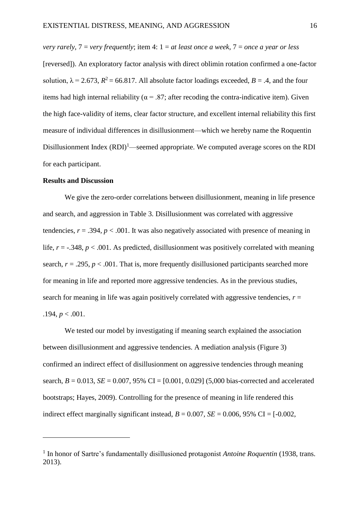*very rarely*, 7 = *very frequently*; item 4: 1 = *at least once a week*, 7 = *once a year or less* [reversed]). An exploratory factor analysis with direct oblimin rotation confirmed a one-factor solution,  $\lambda = 2.673$ ,  $R^2 = 66.817$ . All absolute factor loadings exceeded,  $B = .4$ , and the four items had high internal reliability ( $\alpha$  = .87; after recoding the contra-indicative item). Given the high face-validity of items, clear factor structure, and excellent internal reliability this first measure of individual differences in disillusionment—which we hereby name the Roquentin Disillusionment Index  $(RDI)^1$ —seemed appropriate. We computed average scores on the RDI for each participant.

## **Results and Discussion**

 $\overline{a}$ 

We give the zero-order correlations between disillusionment, meaning in life presence and search, and aggression in Table 3. Disillusionment was correlated with aggressive tendencies,  $r = .394$ ,  $p < .001$ . It was also negatively associated with presence of meaning in life,  $r = -0.348$ ,  $p < 0.001$ . As predicted, disillusionment was positively correlated with meaning search,  $r = .295$ ,  $p < .001$ . That is, more frequently disillusioned participants searched more for meaning in life and reported more aggressive tendencies. As in the previous studies, search for meaning in life was again positively correlated with aggressive tendencies,  $r =$  $.194, p < .001.$ 

We tested our model by investigating if meaning search explained the association between disillusionment and aggressive tendencies. A mediation analysis (Figure 3) confirmed an indirect effect of disillusionment on aggressive tendencies through meaning search,  $B = 0.013$ ,  $SE = 0.007$ ,  $95\%$  CI = [0.001, 0.029] (5,000 bias-corrected and accelerated bootstraps; Hayes, 2009). Controlling for the presence of meaning in life rendered this indirect effect marginally significant instead,  $B = 0.007$ ,  $SE = 0.006$ , 95% CI = [-0.002,

<sup>&</sup>lt;sup>1</sup> In honor of Sartre's fundamentally disillusioned protagonist *Antoine Roquentin* (1938, trans. 2013).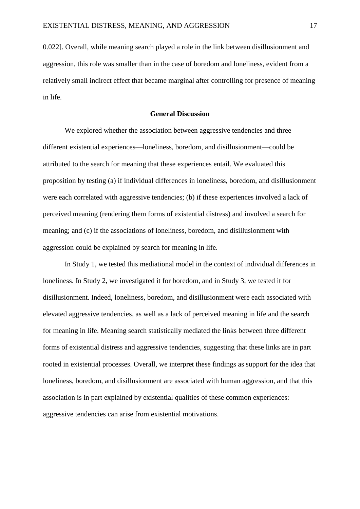0.022]. Overall, while meaning search played a role in the link between disillusionment and aggression, this role was smaller than in the case of boredom and loneliness, evident from a relatively small indirect effect that became marginal after controlling for presence of meaning in life.

#### **General Discussion**

We explored whether the association between aggressive tendencies and three different existential experiences—loneliness, boredom, and disillusionment—could be attributed to the search for meaning that these experiences entail. We evaluated this proposition by testing (a) if individual differences in loneliness, boredom, and disillusionment were each correlated with aggressive tendencies; (b) if these experiences involved a lack of perceived meaning (rendering them forms of existential distress) and involved a search for meaning; and (c) if the associations of loneliness, boredom, and disillusionment with aggression could be explained by search for meaning in life.

In Study 1, we tested this mediational model in the context of individual differences in loneliness. In Study 2, we investigated it for boredom, and in Study 3, we tested it for disillusionment. Indeed, loneliness, boredom, and disillusionment were each associated with elevated aggressive tendencies, as well as a lack of perceived meaning in life and the search for meaning in life. Meaning search statistically mediated the links between three different forms of existential distress and aggressive tendencies, suggesting that these links are in part rooted in existential processes. Overall, we interpret these findings as support for the idea that loneliness, boredom, and disillusionment are associated with human aggression, and that this association is in part explained by existential qualities of these common experiences: aggressive tendencies can arise from existential motivations.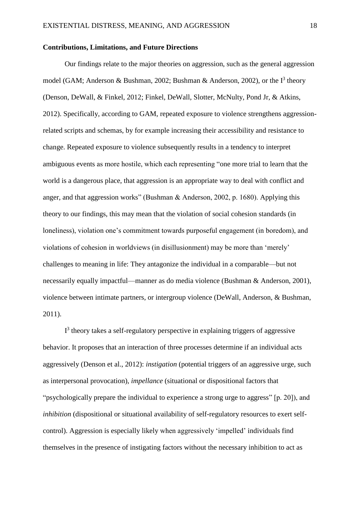#### **Contributions, Limitations, and Future Directions**

Our findings relate to the major theories on aggression, such as the general aggression model (GAM; Anderson & Bushman, 2002; Bushman & Anderson, 2002), or the  $I<sup>3</sup>$  theory (Denson, DeWall, & Finkel, 2012; Finkel, DeWall, Slotter, McNulty, Pond Jr, & Atkins, 2012). Specifically, according to GAM, repeated exposure to violence strengthens aggressionrelated scripts and schemas, by for example increasing their accessibility and resistance to change. Repeated exposure to violence subsequently results in a tendency to interpret ambiguous events as more hostile, which each representing "one more trial to learn that the world is a dangerous place, that aggression is an appropriate way to deal with conflict and anger, and that aggression works" (Bushman & Anderson, 2002, p. 1680). Applying this theory to our findings, this may mean that the violation of social cohesion standards (in loneliness), violation one's commitment towards purposeful engagement (in boredom), and violations of cohesion in worldviews (in disillusionment) may be more than 'merely' challenges to meaning in life: They antagonize the individual in a comparable—but not necessarily equally impactful—manner as do media violence (Bushman & Anderson, 2001), violence between intimate partners, or intergroup violence (DeWall, Anderson, & Bushman, 2011).

 $I<sup>3</sup>$  theory takes a self-regulatory perspective in explaining triggers of aggressive behavior. It proposes that an interaction of three processes determine if an individual acts aggressively (Denson et al., 2012): *instigation* (potential triggers of an aggressive urge, such as interpersonal provocation), *impellance* (situational or dispositional factors that "psychologically prepare the individual to experience a strong urge to aggress" [p. 20]), and *inhibition* (dispositional or situational availability of self-regulatory resources to exert selfcontrol). Aggression is especially likely when aggressively 'impelled' individuals find themselves in the presence of instigating factors without the necessary inhibition to act as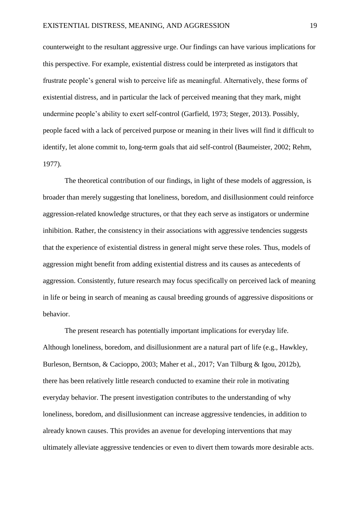counterweight to the resultant aggressive urge. Our findings can have various implications for this perspective. For example, existential distress could be interpreted as instigators that frustrate people's general wish to perceive life as meaningful. Alternatively, these forms of existential distress, and in particular the lack of perceived meaning that they mark, might undermine people's ability to exert self-control (Garfield, 1973; Steger, 2013). Possibly, people faced with a lack of perceived purpose or meaning in their lives will find it difficult to identify, let alone commit to, long-term goals that aid self-control (Baumeister, 2002; Rehm, 1977).

The theoretical contribution of our findings, in light of these models of aggression, is broader than merely suggesting that loneliness, boredom, and disillusionment could reinforce aggression-related knowledge structures, or that they each serve as instigators or undermine inhibition. Rather, the consistency in their associations with aggressive tendencies suggests that the experience of existential distress in general might serve these roles. Thus, models of aggression might benefit from adding existential distress and its causes as antecedents of aggression. Consistently, future research may focus specifically on perceived lack of meaning in life or being in search of meaning as causal breeding grounds of aggressive dispositions or behavior.

The present research has potentially important implications for everyday life. Although loneliness, boredom, and disillusionment are a natural part of life (e.g., Hawkley, Burleson, Berntson, & Cacioppo, 2003; Maher et al., 2017; Van Tilburg & Igou, 2012b), there has been relatively little research conducted to examine their role in motivating everyday behavior. The present investigation contributes to the understanding of why loneliness, boredom, and disillusionment can increase aggressive tendencies, in addition to already known causes. This provides an avenue for developing interventions that may ultimately alleviate aggressive tendencies or even to divert them towards more desirable acts.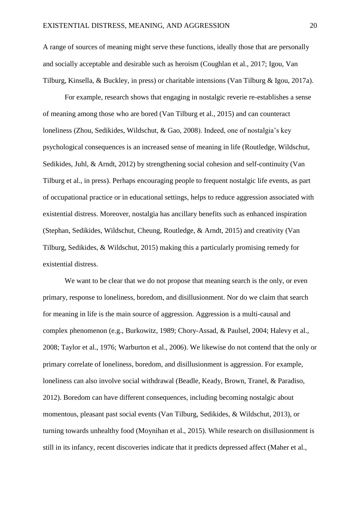A range of sources of meaning might serve these functions, ideally those that are personally and socially acceptable and desirable such as heroism (Coughlan et al., 2017; Igou, Van Tilburg, Kinsella, & Buckley, in press) or charitable intensions (Van Tilburg & Igou, 2017a).

For example, research shows that engaging in nostalgic reverie re-establishes a sense of meaning among those who are bored (Van Tilburg et al., 2015) and can counteract loneliness (Zhou, Sedikides, Wildschut, & Gao, 2008). Indeed, one of nostalgia's key psychological consequences is an increased sense of meaning in life (Routledge, Wildschut, Sedikides, Juhl, & Arndt, 2012) by strengthening social cohesion and self-continuity (Van Tilburg et al., in press). Perhaps encouraging people to frequent nostalgic life events, as part of occupational practice or in educational settings, helps to reduce aggression associated with existential distress. Moreover, nostalgia has ancillary benefits such as enhanced inspiration (Stephan, Sedikides, Wildschut, Cheung, Routledge, & Arndt, 2015) and creativity (Van Tilburg, Sedikides, & Wildschut, 2015) making this a particularly promising remedy for existential distress.

We want to be clear that we do not propose that meaning search is the only, or even primary, response to loneliness, boredom, and disillusionment. Nor do we claim that search for meaning in life is the main source of aggression. Aggression is a multi-causal and complex phenomenon (e.g., Burkowitz, 1989; Chory-Assad, & Paulsel, 2004; Halevy et al., 2008; Taylor et al., 1976; Warburton et al., 2006). We likewise do not contend that the only or primary correlate of loneliness, boredom, and disillusionment is aggression. For example, loneliness can also involve social withdrawal (Beadle, Keady, Brown, Tranel, & Paradiso, 2012). Boredom can have different consequences, including becoming nostalgic about momentous, pleasant past social events (Van Tilburg, Sedikides, & Wildschut, 2013), or turning towards unhealthy food (Moynihan et al., 2015). While research on disillusionment is still in its infancy, recent discoveries indicate that it predicts depressed affect (Maher et al.,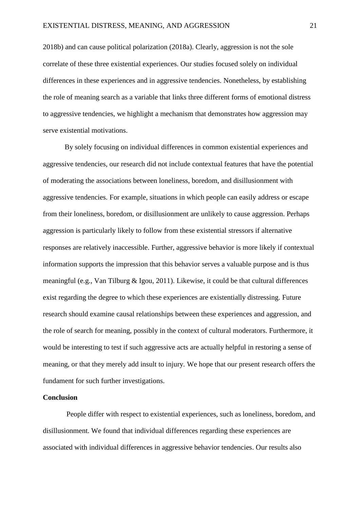2018b) and can cause political polarization (2018a). Clearly, aggression is not the sole correlate of these three existential experiences. Our studies focused solely on individual differences in these experiences and in aggressive tendencies. Nonetheless, by establishing the role of meaning search as a variable that links three different forms of emotional distress to aggressive tendencies, we highlight a mechanism that demonstrates how aggression may serve existential motivations.

By solely focusing on individual differences in common existential experiences and aggressive tendencies, our research did not include contextual features that have the potential of moderating the associations between loneliness, boredom, and disillusionment with aggressive tendencies. For example, situations in which people can easily address or escape from their loneliness, boredom, or disillusionment are unlikely to cause aggression. Perhaps aggression is particularly likely to follow from these existential stressors if alternative responses are relatively inaccessible. Further, aggressive behavior is more likely if contextual information supports the impression that this behavior serves a valuable purpose and is thus meaningful (e.g., Van Tilburg & Igou, 2011). Likewise, it could be that cultural differences exist regarding the degree to which these experiences are existentially distressing. Future research should examine causal relationships between these experiences and aggression, and the role of search for meaning, possibly in the context of cultural moderators. Furthermore, it would be interesting to test if such aggressive acts are actually helpful in restoring a sense of meaning, or that they merely add insult to injury. We hope that our present research offers the fundament for such further investigations.

## **Conclusion**

People differ with respect to existential experiences, such as loneliness, boredom, and disillusionment. We found that individual differences regarding these experiences are associated with individual differences in aggressive behavior tendencies. Our results also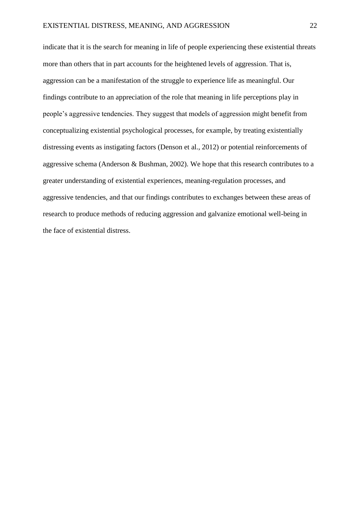indicate that it is the search for meaning in life of people experiencing these existential threats more than others that in part accounts for the heightened levels of aggression. That is, aggression can be a manifestation of the struggle to experience life as meaningful. Our findings contribute to an appreciation of the role that meaning in life perceptions play in people's aggressive tendencies. They suggest that models of aggression might benefit from conceptualizing existential psychological processes, for example, by treating existentially distressing events as instigating factors (Denson et al., 2012) or potential reinforcements of aggressive schema (Anderson & Bushman, 2002). We hope that this research contributes to a greater understanding of existential experiences, meaning-regulation processes, and aggressive tendencies, and that our findings contributes to exchanges between these areas of research to produce methods of reducing aggression and galvanize emotional well-being in the face of existential distress.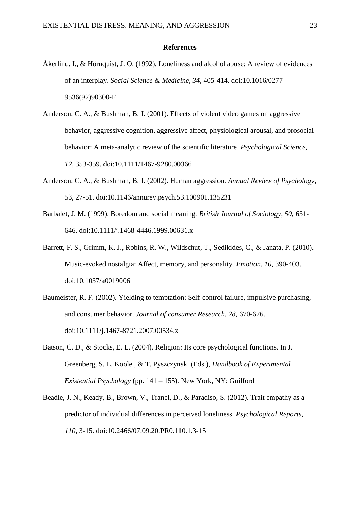#### **References**

- Åkerlind, I., & Hörnquist, J. O. (1992). Loneliness and alcohol abuse: A review of evidences of an interplay. *Social Science & Medicine, 34*, 405-414. doi:10.1016/0277- 9536(92)90300-F
- Anderson, C. A., & Bushman, B. J. (2001). Effects of violent video games on aggressive behavior, aggressive cognition, aggressive affect, physiological arousal, and prosocial behavior: A meta-analytic review of the scientific literature. *Psychological Science, 12*, 353-359. doi:10.1111/1467-9280.00366
- Anderson, C. A., & Bushman, B. J. (2002). Human aggression. *Annual Review of Psychology*, 53, 27-51. doi:10.1146/annurev.psych.53.100901.135231
- Barbalet, J. M. (1999). Boredom and social meaning. *British Journal of Sociology, 50*, 631- 646. doi:10.1111/j.1468-4446.1999.00631.x
- Barrett, F. S., Grimm, K. J., Robins, R. W., Wildschut, T., Sedikides, C., & Janata, P. (2010). Music-evoked nostalgia: Affect, memory, and personality. *Emotion, 10*, 390-403. doi:10.1037/a0019006
- Baumeister, R. F. (2002). Yielding to temptation: Self-control failure, impulsive purchasing, and consumer behavior. *Journal of consumer Research, 28*, 670-676. doi:10.1111/j.1467-8721.2007.00534.x
- Batson, C. D., & Stocks, E. L. (2004). Religion: Its core psychological functions. In J. Greenberg, S. L. Koole , & T. Pyszczynski (Eds.), *Handbook of Experimental Existential Psychology* (pp. 141 – 155). New York, NY: Guilford
- Beadle, J. N., Keady, B., Brown, V., Tranel, D., & Paradiso, S. (2012). Trait empathy as a predictor of individual differences in perceived loneliness. *Psychological Reports, 110*, 3-15. doi:10.2466/07.09.20.PR0.110.1.3-15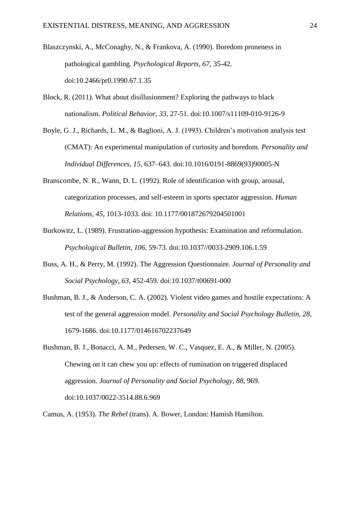- Blaszczynski, A., McConaghy, N., & Frankova, A. (1990). Boredom proneness in pathological gambling. *Psychological Reports, 67,* 35-42. doi:10.2466/pr0.1990.67.1.35
- Block, R. (2011). What about disillusionment? Exploring the pathways to black nationalism. *Political Behavior*, *33*, 27-51. doi:10.1007/s11109-010-9126-9
- Boyle, G. J., Richards, L. M., & Baglioni, A. J. (1993). Children's motivation analysis test (CMAT): An experimental manipulation of curiosity and boredom. *Personality and Individual Differences, 15*, 637–643. doi:10.1016/0191-8869(93)90005-N
- Branscombe, N. R., Wann, D. L. (1992). Role of identification with group, arousal, categorization processes, and self-esteem in sports spectator aggression. *Human Relations, 45*, 1013-1033. doi: 10.1177/001872679204501001
- Burkowitz, L. (1989). Frustration-aggression hypothesis: Examination and reformulation. *Psychological Bulletin, 106*, 59-73. doi:10.1037//0033-2909.106.1.59
- Buss, A. H., & Perry, M. (1992). The Aggression Questionnaire. *Journal of Personality and Social Psychology, 63,* 452-459. doi:10.1037/t00691-000
- Bushman, B. J., & Anderson, C. A. (2002). Violent video games and hostile expectations: A test of the general aggression model. *Personality and Social Psychology Bulletin, 28*, 1679-1686. doi:10.1177/014616702237649
- Bushman, B. J., Bonacci, A. M., Pedersen, W. C., Vasquez, E. A., & Miller, N. (2005). Chewing on it can chew you up: effects of rumination on triggered displaced aggression. *Journal of Personality and Social Psychology*, *88*, 969. doi:10.1037/0022-3514.88.6.969

Camus, A. (1953). *The Rebel* (trans). A. Bower, London: Hamish Hamilton.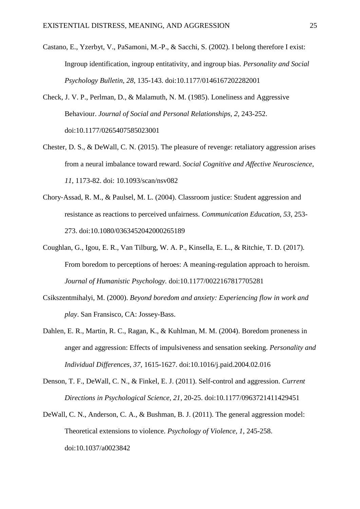- Castano, E., Yzerbyt, V., PaSamoni, M.-P., & Sacchi, S. (2002). I belong therefore I exist: Ingroup identification, ingroup entitativity, and ingroup bias. *Personality and Social Psychology Bulletin, 28*, 135-143. doi:10.1177/0146167202282001
- Check, J. V. P., Perlman, D., & Malamuth, N. M. (1985). Loneliness and Aggressive Behaviour. *Journal of Social and Personal Relationships, 2*, 243-252. doi:10.1177/0265407585023001
- Chester, D. S., & DeWall, C. N. (2015). The pleasure of revenge: retaliatory aggression arises from a neural imbalance toward reward. *Social Cognitive and Affective Neuroscience, 11*, 1173-82. doi: 10.1093/scan/nsv082
- Chory‐Assad, R. M., & Paulsel, M. L. (2004). Classroom justice: Student aggression and resistance as reactions to perceived unfairness. *Communication Education, 53*, 253- 273. doi:10.1080/0363452042000265189
- Coughlan, G., Igou, E. R., Van Tilburg, W. A. P., Kinsella, E. L., & Ritchie, T. D. (2017). From boredom to perceptions of heroes: A meaning-regulation approach to heroism. *Journal of Humanistic Psychology.* doi:10.1177/0022167817705281
- Csikszentmihalyi, M. (2000). *Beyond boredom and anxiety: Experiencing flow in work and play*. San Fransisco, CA: Jossey-Bass.
- Dahlen, E. R., Martin, R. C., Ragan, K., & Kuhlman, M. M. (2004). Boredom proneness in anger and aggression: Effects of impulsiveness and sensation seeking. *Personality and Individual Differences, 37*, 1615-1627. doi:10.1016/j.paid.2004.02.016
- Denson, T. F., DeWall, C. N., & Finkel, E. J. (2011). Self-control and aggression. *Current Directions in Psychological Science, 21*, 20-25. doi:10.1177/0963721411429451
- DeWall, C. N., Anderson, C. A., & Bushman, B. J. (2011). The general aggression model: Theoretical extensions to violence*. Psychology of Violence, 1*, 245-258. doi:10.1037/a0023842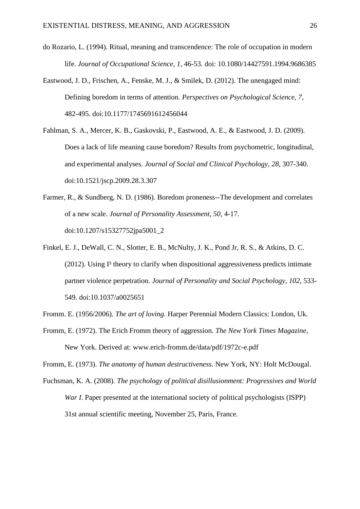- do Rozario, L. (1994). Ritual, meaning and transcendence: The role of occupation in modern life. *Journal of Occupational Science, 1*, 46-53. doi: 10.1080/14427591.1994.9686385
- Eastwood, J. D., Frischen, A., Fenske, M. J., & Smilek, D. (2012). The unengaged mind: Defining boredom in terms of attention. *Perspectives on Psychological Science, 7*, 482-495. doi:10.1177/1745691612456044
- Fahlman, S. A., Mercer, K. B., Gaskovski, P., Eastwood, A. E., & Eastwood, J. D. (2009). Does a lack of life meaning cause boredom? Results from psychometric, longitudinal, and experimental analyses. *Journal of Social and Clinical Psychology, 28*, 307-340. doi:10.1521/jscp.2009.28.3.307
- Farmer, R., & Sundberg, N. D. (1986). Boredom proneness--The development and correlates of a new scale. *Journal of Personality Assessment, 50*, 4-17. doi:10.1207/s15327752jpa5001\_2
- Finkel, E. J., DeWall, C. N., Slotter, E. B., McNulty, J. K., Pond Jr, R. S., & Atkins, D. C.  $(2012)$ . Using  $I<sup>3</sup>$  theory to clarify when dispositional aggressiveness predicts intimate partner violence perpetration. *Journal of Personality and Social Psychology, 102*, 533- 549. doi:10.1037/a0025651

Fromm. E. (1956/2006). *The art of loving.* Harper Perennial Modern Classics: London, Uk.

Fromm, E. (1972). The Erich Fromm theory of aggression. *The New York Times Magazine,*  New York. Derived at: www.erich-fromm.de/data/pdf/1972c-e.pdf

Fromm, E. (1973). *The anatomy of human destructiveness.* New York, NY: Holt McDougal.

Fuchsman, K. A. (2008). *The psychology of political disillusionment: Progressives and World War I*. Paper presented at the international society of political psychologists (ISPP) 31st annual scientific meeting, November 25, Paris, France.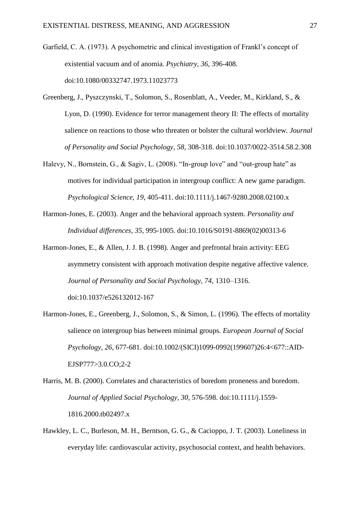Garfield, C. A. (1973). A psychometric and clinical investigation of Frankl's concept of existential vacuum and of anomia. *Psychiatry, 36*, 396-408. doi:10.1080/00332747.1973.11023773

- Greenberg, J., Pyszczynski, T., Solomon, S., Rosenblatt, A., Veeder, M., Kirkland, S., & Lyon, D. (1990). Evidence for terror management theory II: The effects of mortality salience on reactions to those who threaten or bolster the cultural worldview*. Journal of Personality and Social Psychology, 58*, 308-318. doi:10.1037/0022-3514.58.2.308
- Halevy, N., Bornstein, G., & Sagiv, L. (2008). "In-group love" and "out-group hate" as motives for individual participation in intergroup conflict: A new game paradigm. *Psychological Science, 19*, 405-411. doi:10.1111/j.1467-9280.2008.02100.x
- Harmon-Jones, E. (2003). Anger and the behavioral approach system. *Personality and Individual differences*, *35*, 995-1005. doi:10.1016/S0191-8869(02)00313-6
- Harmon-Jones, E., & Allen, J. J. B. (1998). Anger and prefrontal brain activity: EEG asymmetry consistent with approach motivation despite negative affective valence. *Journal of Personality and Social Psychology, 74*, 1310–1316. doi:10.1037/e526132012-167
- Harmon-Jones, E., Greenberg, J., Solomon, S., & Simon, L. (1996). The effects of mortality salience on intergroup bias between minimal groups. *European Journal of Social Psychology, 26*, 677-681. doi:10.1002/(SICI)1099-0992(199607)26:4<677::AID-EJSP777>3.0.CO;2-2
- Harris, M. B. (2000). Correlates and characteristics of boredom proneness and boredom. *Journal of Applied Social Psychology, 30*, 576-598. doi:10.1111/j.1559- 1816.2000.tb02497.x
- Hawkley, L. C., Burleson, M. H., Berntson, G. G., & Cacioppo, J. T. (2003). Loneliness in everyday life: cardiovascular activity, psychosocial context, and health behaviors.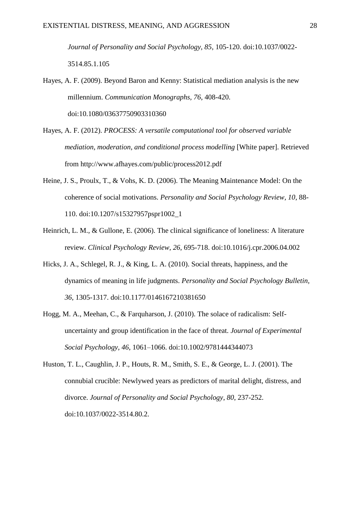*Journal of Personality and Social Psychology, 85*, 105-120. doi:10.1037/0022- 3514.85.1.105

- Hayes, A. F. (2009). Beyond Baron and Kenny: Statistical mediation analysis is the new millennium. *Communication Monographs, 76*, 408-420. doi:10.1080/03637750903310360
- Hayes, A. F. (2012). *PROCESS: A versatile computational tool for observed variable mediation, moderation, and conditional process modelling* [White paper]. Retrieved from http://www.afhayes.com/public/process2012.pdf
- Heine, J. S., Proulx, T., & Vohs, K. D. (2006). The Meaning Maintenance Model: On the coherence of social motivations. *Personality and Social Psychology Review, 10*, 88- 110. doi:10.1207/s15327957pspr1002\_1
- Heinrich, L. M., & Gullone, E. (2006). The clinical significance of loneliness: A literature review. *Clinical Psychology Review, 26*, 695-718. doi:10.1016/j.cpr.2006.04.002
- Hicks, J. A., Schlegel, R. J., & King, L. A. (2010). Social threats, happiness, and the dynamics of meaning in life judgments. *Personality and Social Psychology Bulletin, 36*, 1305-1317. doi:10.1177/0146167210381650
- Hogg, M. A., Meehan, C., & Farquharson, J. (2010). The solace of radicalism: Selfuncertainty and group identification in the face of threat. *Journal of Experimental Social Psychology, 46*, 1061–1066. doi:10.1002/9781444344073
- Huston, T. L., Caughlin, J. P., Houts, R. M., Smith, S. E., & George, L. J. (2001). The connubial crucible: Newlywed years as predictors of marital delight, distress, and divorce. *Journal of Personality and Social Psychology*, *80*, 237-252. doi:10.1037/0022-3514.80.2.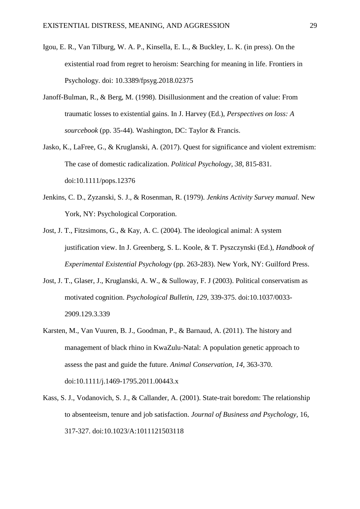- Igou, E. R., Van Tilburg, W. A. P., Kinsella, E. L., & Buckley, L. K. (in press). On the existential road from regret to heroism: Searching for meaning in life. Frontiers in Psychology. doi: 10.3389/fpsyg.2018.02375
- Janoff-Bulman, R., & Berg, M. (1998). Disillusionment and the creation of value: From traumatic losses to existential gains. In J. Harvey (Ed.), *Perspectives on loss: A sourcebook* (pp. 35-44)*.* Washington, DC: Taylor & Francis.
- Jasko, K., LaFree, G., & Kruglanski, A. (2017). Quest for significance and violent extremism: The case of domestic radicalization. *Political Psychology*, *38*, 815-831. doi:10.1111/pops.12376
- Jenkins, C. D., Zyzanski, S. J., & Rosenman, R. (1979). *Jenkins Activity Survey manual.* New York, NY: Psychological Corporation.
- Jost, J. T., Fitzsimons, G., & Kay, A. C. (2004). The ideological animal: A system justification view. In J. Greenberg, S. L. Koole, & T. Pyszczynski (Ed.), *Handbook of Experimental Existential Psychology* (pp. 263-283). New York, NY: Guilford Press.
- Jost, J. T., Glaser, J., Kruglanski, A. W., & Sulloway, F. J (2003). Political conservatism as motivated cognition. *Psychological Bulletin, 129*, 339-375. doi:10.1037/0033- 2909.129.3.339
- Karsten, M., Van Vuuren, B. J., Goodman, P., & Barnaud, A. (2011). The history and management of black rhino in KwaZulu‐Natal: A population genetic approach to assess the past and guide the future. *Animal Conservation, 14*, 363-370. doi:10.1111/j.1469-1795.2011.00443.x
- Kass, S. J., Vodanovich, S. J., & Callander, A. (2001). State-trait boredom: The relationship to absenteeism, tenure and job satisfaction. *Journal of Business and Psychology,* 16, 317-327. doi:10.1023/A:1011121503118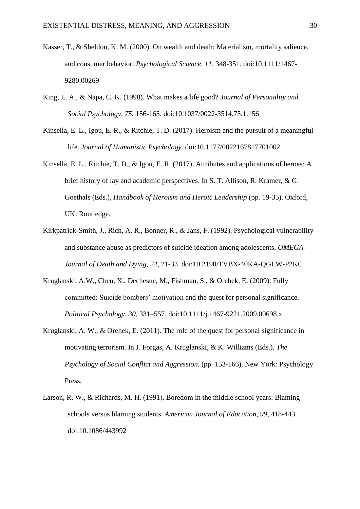- Kasser, T., & Sheldon, K. M. (2000). On wealth and death: Materialism, mortality salience, and consumer behavior. *Psychological Science, 11*, 348-351. doi:10.1111/1467- 9280.00269
- King, L. A., & Napa, C. K. (1998). What makes a life good? *Journal of Personality and Social Psychology, 75*, 156-165. doi:10.1037/0022-3514.75.1.156
- Kinsella, E. L., Igou, E. R., & Ritchie, T. D. (2017). Heroism and the pursuit of a meaningful life. *Journal of Humanistic Psychology*. doi:10.1177/0022167817701002
- Kinsella, E. L., Ritchie, T. D., & Igou, E. R. (2017). Attributes and applications of heroes: A brief history of lay and academic perspectives. In S. T. Allison, R. Kramer, & G. Goethals (Eds.), *Handbook of Heroism and Heroic Leadership* (pp. 19-35). Oxford, UK: Routledge.
- Kirkpatrick-Smith, J., Rich, A. R., Bonner, R., & Jans, F. (1992). Psychological vulnerability and substance abuse as predictors of suicide ideation among adolescents. *OMEGA-Journal of Death and Dying, 24*, 21-33. doi:10.2190/TVBX-40KA-QGLW-P2KC
- Kruglanski, A.W., Chen, X., Dechesne, M., Fishman, S., & Orehek, E. (2009). Fully committed: Suicide bombers' motivation and the quest for personal significance. *Political Psychology, 30*, 331–557. doi:10.1111/j.1467-9221.2009.00698.x
- Kruglanski, A. W., & Orehek, E. (2011). The role of the quest for personal significance in motivating terrorism. In J. Forgas, A. Kruglanski, & K. Williams (Eds.), *The Psychology of Social Conflict and Aggression.* (pp. 153-166). New York: Psychology Press.
- Larson, R. W., & Richards, M. H. (1991). Boredom in the middle school years: Blaming schools versus blaming students. *American Journal of Education, 99*, 418-443. doi:10.1086/443992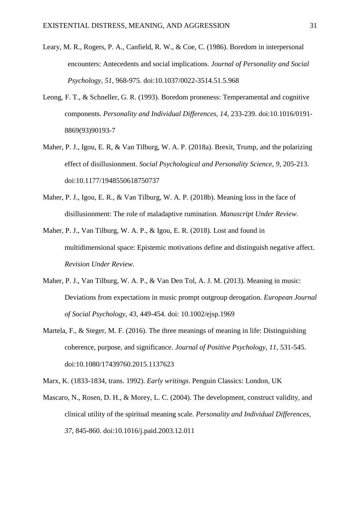- Leary, M. R., Rogers, P. A., Canfield, R. W., & Coe, C. (1986). Boredom in interpersonal encounters: Antecedents and social implications. *Journal of Personality and Social Psychology, 51,* 968-975. doi:10.1037/0022-3514.51.5.968
- Leong, F. T., & Schneller, G. R. (1993). Boredom proneness: Temperamental and cognitive components. *Personality and Individual Differences, 14*, 233-239. doi:10.1016/0191- 8869(93)90193-7
- Maher, P. J., Igou, E. R, & Van Tilburg, W. A. P. (2018a). Brexit, Trump, and the polarizing effect of disillusionment. *Social Psychological and Personality Science, 9*, 205-213. doi:10.1177/1948550618750737
- Maher, P. J., Igou, E. R., & Van Tilburg, W. A. P. (2018b). Meaning loss in the face of disillusionment: The role of maladaptive rumination. *Manuscript Under Review*.
- Maher, P. J., Van Tilburg, W. A. P., & Igou, E. R. (2018). Lost and found in multidimensional space: Epistemic motivations define and distinguish negative affect. *Revision Under Review.*
- Maher, P. J., Van Tilburg, W. A. P., & Van Den Tol, A. J. M. (2013). Meaning in music: Deviations from expectations in music prompt outgroup derogation. *European Journal of Social Psychology, 43*, 449-454. doi: 10.1002/ejsp.1969
- Martela, F., & Steger, M. F. (2016). The three meanings of meaning in life: Distinguishing coherence, purpose, and significance. *Journal of Positive Psychology, 11*, 531-545. doi:10.1080/17439760.2015.1137623
- Marx, K. (1833-1834, trans. 1992). *Early writings*. Penguin Classics: London, UK
- Mascaro, N., Rosen, D. H., & Morey, L. C. (2004). The development, construct validity, and clinical utility of the spiritual meaning scale. *Personality and Individual Differences, 37*, 845-860. doi:10.1016/j.paid.2003.12.011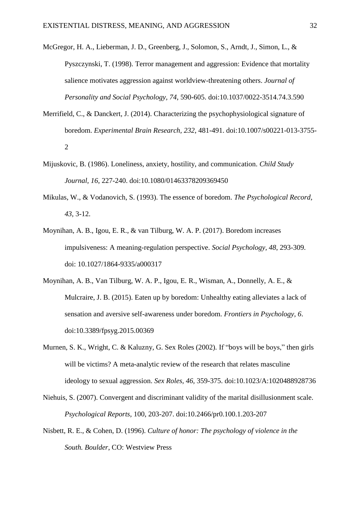- McGregor, H. A., Lieberman, J. D., Greenberg, J., Solomon, S., Arndt, J., Simon, L., & Pyszczynski, T. (1998). Terror management and aggression: Evidence that mortality salience motivates aggression against worldview-threatening others. *Journal of Personality and Social Psychology, 74*, 590-605. doi:10.1037/0022-3514.74.3.590
- Merrifield, C., & Danckert, J. (2014). Characterizing the psychophysiological signature of boredom. *Experimental Brain Research, 232*, 481-491. doi:10.1007/s00221-013-3755- 2
- Mijuskovic, B. (1986). Loneliness, anxiety, hostility, and communication. *Child Study Journal, 16*, 227-240. doi:10.1080/01463378209369450
- Mikulas, W., & Vodanovich, S. (1993). The essence of boredom. *The Psychological Record, 43*, 3-12.
- Moynihan, A. B., Igou, E. R., & van Tilburg, W. A. P. (2017). Boredom increases impulsiveness: A meaning-regulation perspective. *Social Psychology, 48*, 293-309. doi: 10.1027/1864-9335/a000317
- Moynihan, A. B., Van Tilburg, W. A. P., Igou, E. R., Wisman, A., Donnelly, A. E., & Mulcraire, J. B. (2015). Eaten up by boredom: Unhealthy eating alleviates a lack of sensation and aversive self-awareness under boredom. *Frontiers in Psychology, 6*. doi:10.3389/fpsyg.2015.00369
- Murnen, S. K., Wright, C. & Kaluzny, G. Sex Roles (2002). If "boys will be boys," then girls will be victims? A meta-analytic review of the research that relates masculine ideology to sexual aggression. *Sex Roles, 46,* 359-375. doi:10.1023/A:1020488928736
- Niehuis, S. (2007). Convergent and discriminant validity of the marital disillusionment scale. *Psychological Reports*, 100, 203-207. doi:10.2466/pr0.100.1.203-207
- Nisbett, R. E., & Cohen, D. (1996). *Culture of honor: The psychology of violence in the South. Boulder*, CO: Westview Press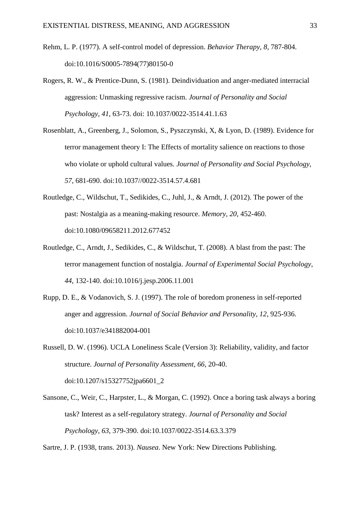- Rehm, L. P. (1977). A self-control model of depression. *Behavior Therapy, 8*, 787-804. doi:10.1016/S0005-7894(77)80150-0
- Rogers, R. W., & Prentice-Dunn, S. (1981). Deindividuation and anger-mediated interracial aggression: Unmasking regressive racism. *Journal of Personality and Social Psychology, 41*, 63-73. doi: 10.1037/0022-3514.41.1.63
- Rosenblatt, A., Greenberg, J., Solomon, S., Pyszczynski, X, & Lyon, D. (1989). Evidence for terror management theory I: The Effects of mortality salience on reactions to those who violate or uphold cultural values. *Journal of Personality and Social Psychology, 57,* 681-690. doi:10.1037//0022-3514.57.4.681
- Routledge, C., Wildschut, T., Sedikides, C., Juhl, J., & Arndt, J. (2012). The power of the past: Nostalgia as a meaning-making resource. *Memory, 20*, 452-460. doi:10.1080/09658211.2012.677452
- Routledge, C., Arndt, J., Sedikides, C., & Wildschut, T. (2008). A blast from the past: The terror management function of nostalgia. *Journal of Experimental Social Psychology, 44*, 132-140. doi:10.1016/j.jesp.2006.11.001
- Rupp, D. E., & Vodanovich, S. J. (1997). The role of boredom proneness in self-reported anger and aggression. *Journal of Social Behavior and Personality, 12*, 925-936. doi:10.1037/e341882004-001

Russell, D. W. (1996). UCLA Loneliness Scale (Version 3): Reliability, validity, and factor structure. *Journal of Personality Assessment, 66*, 20-40. doi:10.1207/s15327752jpa6601\_2

Sansone, C., Weir, C., Harpster, L., & Morgan, C. (1992). Once a boring task always a boring task? Interest as a self-regulatory strategy. *Journal of Personality and Social Psychology, 63*, 379-390. doi:10.1037/0022-3514.63.3.379

Sartre, J. P. (1938, trans. 2013). *Nausea*. New York: New Directions Publishing.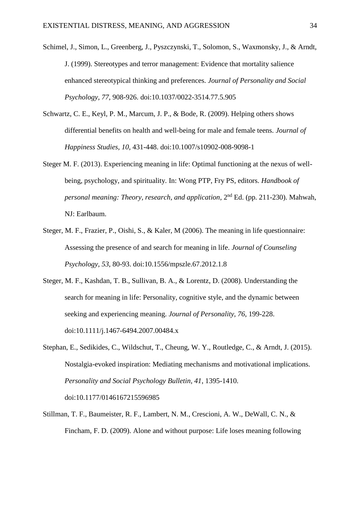- Schimel, J., Simon, L., Greenberg, J., Pyszczynski, T., Solomon, S., Waxmonsky, J., & Arndt, J. (1999). Stereotypes and terror management: Evidence that mortality salience enhanced stereotypical thinking and preferences. *Journal of Personality and Social Psychology, 77*, 908-926. doi:10.1037/0022-3514.77.5.905
- Schwartz, C. E., Keyl, P. M., Marcum, J. P., & Bode, R. (2009). Helping others shows differential benefits on health and well-being for male and female teens. *Journal of Happiness Studies, 10*, 431-448. doi:10.1007/s10902-008-9098-1
- Steger M. F. (2013). Experiencing meaning in life: Optimal functioning at the nexus of wellbeing, psychology, and spirituality. In: Wong PTP, Fry PS, editors. *Handbook of personal meaning: Theory, research, and application*, 2nd Ed. (pp. 211-230). Mahwah, NJ: Earlbaum.
- Steger, M. F., Frazier, P., Oishi, S., & Kaler, M (2006). The meaning in life questionnaire: Assessing the presence of and search for meaning in life. *Journal of Counseling Psychology, 53*, 80-93. doi:10.1556/mpszle.67.2012.1.8
- Steger, M. F., Kashdan, T. B., Sullivan, B. A., & Lorentz, D. (2008). Understanding the search for meaning in life: Personality, cognitive style, and the dynamic between seeking and experiencing meaning. *Journal of Personality, 76*, 199-228. doi:10.1111/j.1467-6494.2007.00484.x
- Stephan, E., Sedikides, C., Wildschut, T., Cheung, W. Y., Routledge, C., & Arndt, J. (2015). Nostalgia-evoked inspiration: Mediating mechanisms and motivational implications. *Personality and Social Psychology Bulletin, 41*, 1395-1410. doi:10.1177/0146167215596985
- Stillman, T. F., Baumeister, R. F., Lambert, N. M., Crescioni, A. W., DeWall, C. N., & Fincham, F. D. (2009). Alone and without purpose: Life loses meaning following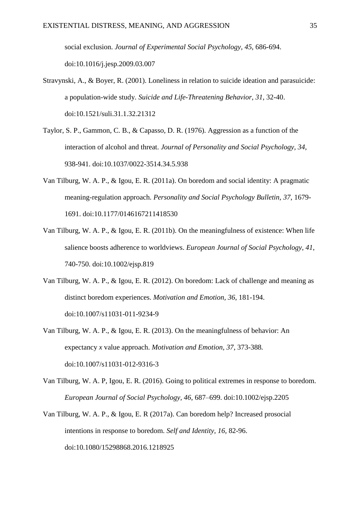social exclusion. *Journal of Experimental Social Psychology, 45*, 686-694. doi:10.1016/j.jesp.2009.03.007

- Stravynski, A., & Boyer, R. (2001). Loneliness in relation to suicide ideation and parasuicide: a population-wide study. *Suicide and Life-Threatening Behavior, 31*, 32-40. doi:10.1521/suli.31.1.32.21312
- Taylor, S. P., Gammon, C. B., & Capasso, D. R. (1976). Aggression as a function of the interaction of alcohol and threat. *Journal of Personality and Social Psychology, 34*, 938-941. doi:10.1037/0022-3514.34.5.938
- Van Tilburg, W. A. P., & Igou, E. R. (2011a). On boredom and social identity: A pragmatic meaning-regulation approach. *Personality and Social Psychology Bulletin, 37*, 1679- 1691. doi:10.1177/0146167211418530
- Van Tilburg, W. A. P., & Igou, E. R. (2011b). On the meaningfulness of existence: When life salience boosts adherence to worldviews. *European Journal of Social Psychology, 41*, 740-750. doi:10.1002/ejsp.819
- Van Tilburg, W. A. P., & Igou, E. R. (2012). On boredom: Lack of challenge and meaning as distinct boredom experiences. *Motivation and Emotion, 36*, 181-194. doi:10.1007/s11031-011-9234-9
- Van Tilburg, W. A. P., & Igou, E. R. (2013). On the meaningfulness of behavior: An expectancy *x* value approach. *Motivation and Emotion, 37*, 373-388*.* doi:10.1007/s11031-012-9316-3
- Van Tilburg, W. A. P, Igou, E. R. (2016). Going to political extremes in response to boredom. *European Journal of Social Psychology, 46*, 687–699. doi:10.1002/ejsp.2205
- Van Tilburg, W. A. P., & Igou, E. R (2017a). Can boredom help? Increased prosocial intentions in response to boredom. *Self and Identity, 16*, 82-96. doi:10.1080/15298868.2016.1218925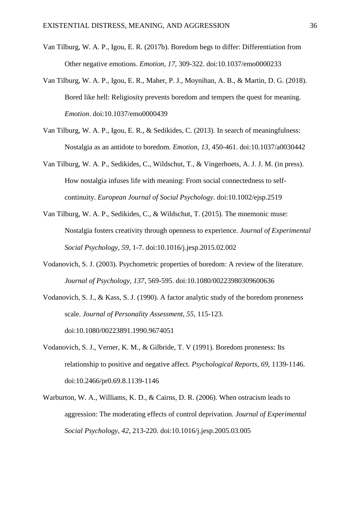- Van Tilburg, W. A. P., Igou, E. R. (2017b). Boredom begs to differ: Differentiation from Other negative emotions. *Emotion, 17*, 309-322. doi:10.1037/emo0000233
- Van Tilburg, W. A. P., Igou, E. R., Maher, P. J., Moynihan, A. B., & Martin, D. G. (2018). Bored like hell: Religiosity prevents boredom and tempers the quest for meaning. *Emotion*. doi:10.1037/emo0000439
- Van Tilburg, W. A. P., Igou, E. R., & Sedikides, C. (2013). In search of meaningfulness: Nostalgia as an antidote to boredom. *Emotion, 13*, 450-461. doi:10.1037/a0030442
- Van Tilburg, W. A. P., Sedikides, C., Wildschut, T., & Vingerhoets, A. J. J. M. (in press). How nostalgia infuses life with meaning: From social connectedness to selfcontinuity. *European Journal of Social Psychology*. doi:10.1002/ejsp.2519
- Van Tilburg, W. A. P., Sedikides, C., & Wildschut, T. (2015). The mnemonic muse: Nostalgia fosters creativity through openness to experience. *Journal of Experimental Social Psychology, 59*, 1-7. doi:10.1016/j.jesp.2015.02.002
- Vodanovich, S. J. (2003). Psychometric properties of boredom: A review of the literature. *Journal of Psychology, 137*, 569-595. doi:10.1080/00223980309600636
- Vodanovich, S. J., & Kass, S. J. (1990). A factor analytic study of the boredom proneness scale. *Journal of Personality Assessment, 55*, 115-123. doi:10.1080/00223891.1990.9674051
- Vodanovich, S. J., Verner, K. M., & Gilbride, T. V (1991). Boredom proneness: Its relationship to positive and negative affect. *Psychological Reports, 69,* 1139-1146. doi:10.2466/pr0.69.8.1139-1146
- Warburton, W. A., Williams, K. D., & Cairns, D. R. (2006). When ostracism leads to aggression: The moderating effects of control deprivation. *Journal of Experimental Social Psychology, 42*, 213-220. doi:10.1016/j.jesp.2005.03.005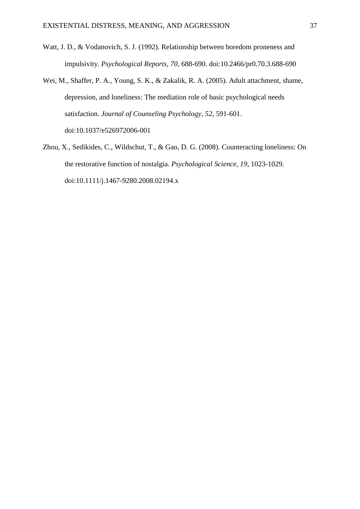- Watt, J. D., & Vodanovich, S. J. (1992). Relationship between boredom proneness and impulsivity. *Psychological Reports, 70,* 688-690. doi:10.2466/pr0.70.3.688-690
- Wei, M., Shaffer, P. A., Young, S. K., & Zakalik, R. A. (2005). Adult attachment, shame, depression, and loneliness: The mediation role of basic psychological needs satisfaction. *Journal of Counseling Psychology, 52*, 591-601. doi:10.1037/e526972006-001
- Zhou, X., Sedikides, C., Wildschut, T., & Gao, D. G. (2008). Counteracting loneliness: On the restorative function of nostalgia. *Psychological Science, 19*, 1023-1029. doi:10.1111/j.1467-9280.2008.02194.x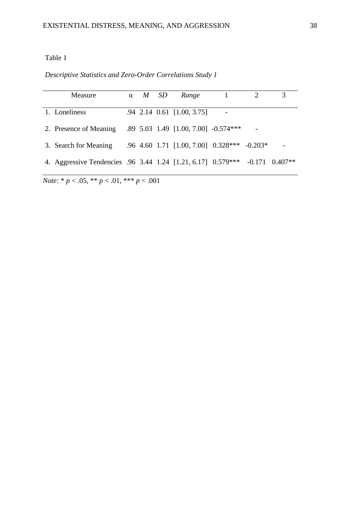Table 1

*Descriptive Statistics and Zero-Order Correlations Study 1*

| <b>Measure</b>                                               | $\alpha$ | M | <i>SD</i> | Range                                       |  |                    |
|--------------------------------------------------------------|----------|---|-----------|---------------------------------------------|--|--------------------|
|                                                              |          |   |           |                                             |  |                    |
| 1. Loneliness                                                |          |   |           | .94 2.14 0.61 [1.00, 3.75]                  |  |                    |
| 2. Presence of Meaning .89 5.03 1.49 [1.00, 7.00] -0.574***  |          |   |           |                                             |  |                    |
| 3. Search for Meaning                                        |          |   |           | .96 4.60 1.71 [1.00, 7.00] 0.328*** -0.203* |  |                    |
| 4. Aggressive Tendencies .96 3.44 1.24 [1.21, 6.17] 0.579*** |          |   |           |                                             |  | $-0.171$ $0.407**$ |

*Note:* \* *p* < .05, \*\* *p* < .01, \*\*\* *p* < .001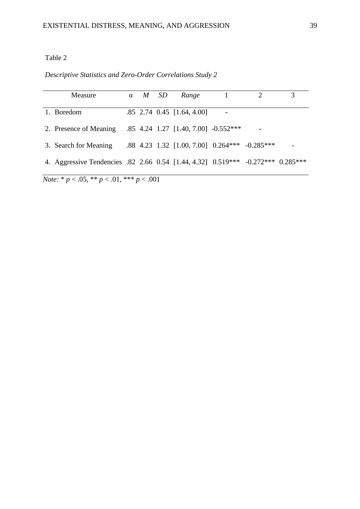# Table 2

# *Descriptive Statistics and Zero-Order Correlations Study 2*

| Measure                                                                         | $\alpha$ | $M$ SD | Range                                         |  | 3 |
|---------------------------------------------------------------------------------|----------|--------|-----------------------------------------------|--|---|
| 1. Boredom                                                                      |          |        | $.85$ 2.74 0.45 [1.64, 4.00]                  |  |   |
| 2. Presence of Meaning                                                          |          |        | $.85$ 4.24 1.27 [1.40, 7.00] $-0.552***$      |  |   |
| 3. Search for Meaning                                                           |          |        | .88 4.23 1.32 [1.00, 7.00] 0.264*** -0.285*** |  |   |
| 4. Aggressive Tendencies .82 2.66 0.54 [1.44, 4.32] 0.519*** -0.272*** 0.285*** |          |        |                                               |  |   |
|                                                                                 |          |        |                                               |  |   |

*Note:* \* *p* < .05, \*\* *p* < .01, \*\*\* *p* < .001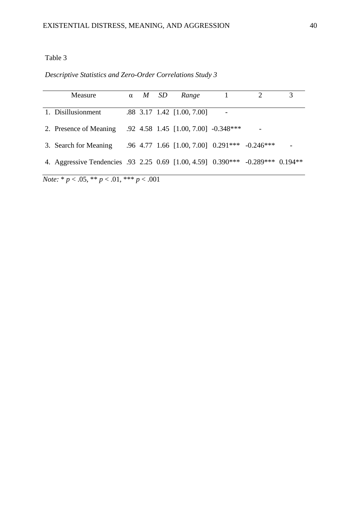# Table 3

*Descriptive Statistics and Zero-Order Correlations Study 3*

| Measure                                                                        | $\alpha$ | M SD | Range                                         |  |  |
|--------------------------------------------------------------------------------|----------|------|-----------------------------------------------|--|--|
|                                                                                |          |      |                                               |  |  |
| 1. Disillusionment                                                             |          |      | .88 3.17 1.42 [1.00, 7.00]                    |  |  |
|                                                                                |          |      |                                               |  |  |
| 2. Presence of Meaning                                                         |          |      | .92 4.58 1.45 [1.00, 7.00] -0.348***          |  |  |
|                                                                                |          |      |                                               |  |  |
| 3. Search for Meaning                                                          |          |      | .96 4.77 1.66 [1.00, 7.00] 0.291*** -0.246*** |  |  |
|                                                                                |          |      |                                               |  |  |
| 4. Aggressive Tendencies .93 2.25 0.69 [1.00, 4.59] 0.390*** -0.289*** 0.194** |          |      |                                               |  |  |
|                                                                                |          |      |                                               |  |  |

*Note:* \* *p* < .05, \*\* *p* < .01, \*\*\* *p* < .001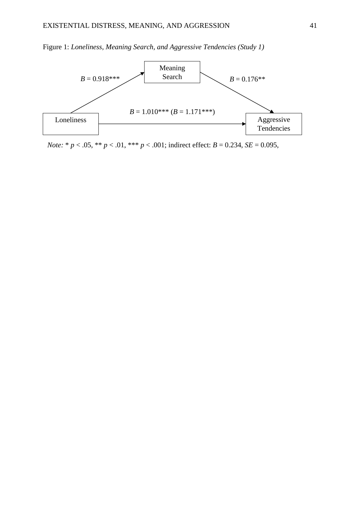



*Note:* \* *p* < .05, \*\* *p* < .01, \*\*\* *p* < .001; indirect effect: *B* = 0.234, *SE* = 0.095,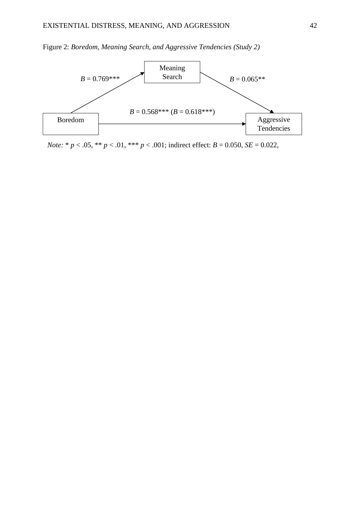

Figure 2: *Boredom, Meaning Search, and Aggressive Tendencies (Study 2)*

*Note:*  $* p < .05$ ,  $** p < .01$ ,  $*** p < .001$ ; indirect effect:  $B = 0.050$ ,  $SE = 0.022$ ,